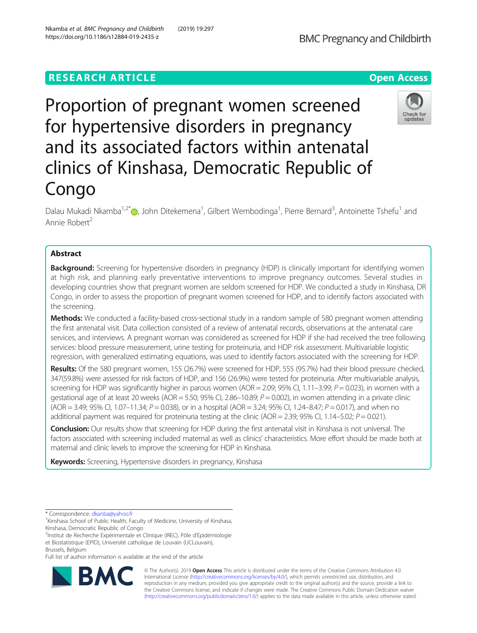# **RESEARCH ARTICLE Example 2018 12:30 THE Open Access**

Proportion of pregnant women screened for hypertensive disorders in pregnancy and its associated factors within antenatal clinics of Kinshasa, Democratic Republic of Congo

Dalau Mukadi Nkamba<sup>1,2[\\*](http://orcid.org/0000-0002-5379-0507)</sup>®, John Ditekemena<sup>1</sup>, Gilbert Wembodinga<sup>1</sup>, Pierre Bernard<sup>3</sup>, Antoinette Tshefu<sup>1</sup> and Annie Robert<sup>2</sup>

# Abstract

**Background:** Screening for hypertensive disorders in pregnancy (HDP) is clinically important for identifying women at high risk, and planning early preventative interventions to improve pregnancy outcomes. Several studies in developing countries show that pregnant women are seldom screened for HDP. We conducted a study in Kinshasa, DR Congo, in order to assess the proportion of pregnant women screened for HDP, and to identify factors associated with the screening.

Methods: We conducted a facility-based cross-sectional study in a random sample of 580 pregnant women attending the first antenatal visit. Data collection consisted of a review of antenatal records, observations at the antenatal care services, and interviews. A pregnant woman was considered as screened for HDP if she had received the tree following services: blood pressure measurement, urine testing for proteinuria, and HDP risk assessment. Multivariable logistic regression, with generalized estimating equations, was used to identify factors associated with the screening for HDP.

Results: Of the 580 pregnant women, 155 (26.7%) were screened for HDP, 555 (95.7%) had their blood pressure checked, 347(59.8%) were assessed for risk factors of HDP, and 156 (26.9%) were tested for proteinuria. After multivariable analysis, screening for HDP was significantly higher in parous women (AOR = 2.09; 95% CI, 1.11–3.99;  $P = 0.023$ ), in women with a gestational age of at least 20 weeks (AOR = 5.50; 95% CI, 2.86-10.89;  $P = 0.002$ ), in women attending in a private clinic  $(AOR = 3.49; 95\%$  CI,  $1.07-11.34; P = 0.038$ ), or in a hospital  $(AOR = 3.24; 95\%$  CI,  $1.24-8.47; P = 0.017$ ), and when no additional payment was required for proteinuria testing at the clinic (AOR = 2.39; 95% CI, 1.14–5.02;  $P = 0.021$ ).

Conclusion: Our results show that screening for HDP during the first antenatal visit in Kinshasa is not universal. The factors associated with screening included maternal as well as clinics' characteristics. More effort should be made both at maternal and clinic levels to improve the screening for HDP in Kinshasa.

Keywords: Screening, Hypertensive disorders in pregnancy, Kinshasa

\* Correspondence: [dkanba@yahoo.fr](mailto:dkanba@yahoo.fr) <sup>1</sup>

<sup>1</sup> Kinshasa School of Public Health, Faculty of Medicine, University of Kinshasa, Kinshasa, Democratic Republic of Congo

2 Institut de Recherche Expérimentale et Clinique (IREC), Pôle d'Epidémiologie et Biostatistique (EPID), Université catholique de Louvain (UCLouvain), Brussels, Belgium

Full list of author information is available at the end of the article





© The Author(s). 2019 **Open Access** This article is distributed under the terms of the Creative Commons Attribution 4.0 International License [\(http://creativecommons.org/licenses/by/4.0/](http://creativecommons.org/licenses/by/4.0/)), which permits unrestricted use, distribution, and reproduction in any medium, provided you give appropriate credit to the original author(s) and the source, provide a link to the Creative Commons license, and indicate if changes were made. The Creative Commons Public Domain Dedication waiver [\(http://creativecommons.org/publicdomain/zero/1.0/](http://creativecommons.org/publicdomain/zero/1.0/)) applies to the data made available in this article, unless otherwise stated.



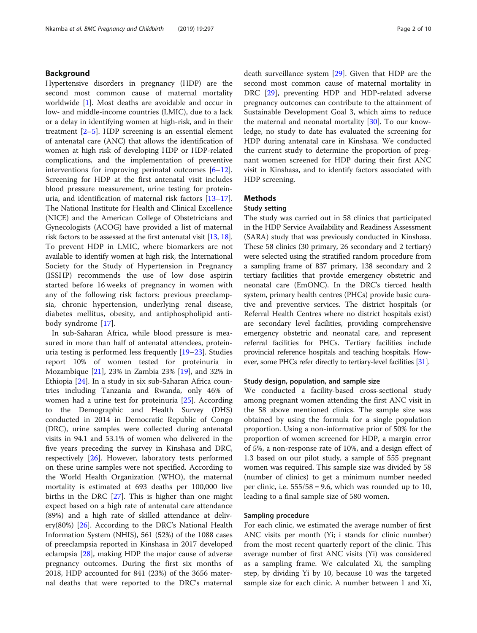# Background

Hypertensive disorders in pregnancy (HDP) are the second most common cause of maternal mortality worldwide [[1](#page-8-0)]. Most deaths are avoidable and occur in low- and middle-income countries (LMIC), due to a lack or a delay in identifying women at high-risk, and in their treatment [[2](#page-8-0)–[5\]](#page-8-0). HDP screening is an essential element of antenatal care (ANC) that allows the identification of women at high risk of developing HDP or HDP-related complications, and the implementation of preventive interventions for improving perinatal outcomes  $[6-12]$  $[6-12]$  $[6-12]$  $[6-12]$  $[6-12]$ . Screening for HDP at the first antenatal visit includes blood pressure measurement, urine testing for proteinuria, and identification of maternal risk factors [[13](#page-8-0)–[17](#page-8-0)]. The National Institute for Health and Clinical Excellence (NICE) and the American College of Obstetricians and Gynecologists (ACOG) have provided a list of maternal risk factors to be assessed at the first antenatal visit [\[13](#page-8-0), [18](#page-8-0)]. To prevent HDP in LMIC, where biomarkers are not available to identify women at high risk, the International Society for the Study of Hypertension in Pregnancy (ISSHP) recommends the use of low dose aspirin started before 16 weeks of pregnancy in women with any of the following risk factors: previous preeclampsia, chronic hypertension, underlying renal disease, diabetes mellitus, obesity, and antiphospholipid antibody syndrome [[17\]](#page-8-0).

In sub-Saharan Africa, while blood pressure is measured in more than half of antenatal attendees, proteinuria testing is performed less frequently [\[19](#page-8-0)–[23\]](#page-8-0). Studies report 10% of women tested for proteinuria in Mozambique [\[21\]](#page-8-0), 23% in Zambia 23% [\[19\]](#page-8-0), and 32% in Ethiopia [[24\]](#page-9-0). In a study in six sub-Saharan Africa countries including Tanzania and Rwanda, only 46% of women had a urine test for proteinuria [\[25\]](#page-9-0). According to the Demographic and Health Survey (DHS) conducted in 2014 in Democratic Republic of Congo (DRC), urine samples were collected during antenatal visits in 94.1 and 53.1% of women who delivered in the five years preceding the survey in Kinshasa and DRC, respectively [[26](#page-9-0)]. However, laboratory tests performed on these urine samples were not specified. According to the World Health Organization (WHO), the maternal mortality is estimated at 693 deaths per 100,000 live births in the DRC [[27](#page-9-0)]. This is higher than one might expect based on a high rate of antenatal care attendance (89%) and a high rate of skilled attendance at delivery(80%) [\[26](#page-9-0)]. According to the DRC's National Health Information System (NHIS), 561 (52%) of the 1088 cases of preeclampsia reported in Kinshasa in 2017 developed eclampsia [\[28](#page-9-0)], making HDP the major cause of adverse pregnancy outcomes. During the first six months of 2018, HDP accounted for 841 (23%) of the 3656 maternal deaths that were reported to the DRC's maternal death surveillance system [[29\]](#page-9-0). Given that HDP are the second most common cause of maternal mortality in DRC [[29](#page-9-0)], preventing HDP and HDP-related adverse pregnancy outcomes can contribute to the attainment of Sustainable Development Goal 3, which aims to reduce the maternal and neonatal mortality [\[30](#page-9-0)]. To our knowledge, no study to date has evaluated the screening for HDP during antenatal care in Kinshasa. We conducted the current study to determine the proportion of pregnant women screened for HDP during their first ANC visit in Kinshasa, and to identify factors associated with HDP screening.

### Methods

### Study setting

The study was carried out in 58 clinics that participated in the HDP Service Availability and Readiness Assessment (SARA) study that was previously conducted in Kinshasa. These 58 clinics (30 primary, 26 secondary and 2 tertiary) were selected using the stratified random procedure from a sampling frame of 837 primary, 138 secondary and 2 tertiary facilities that provide emergency obstetric and neonatal care (EmONC). In the DRC's tierced health system, primary health centres (PHCs) provide basic curative and preventive services. The district hospitals (or Referral Health Centres where no district hospitals exist) are secondary level facilities, providing comprehensive emergency obstetric and neonatal care, and represent referral facilities for PHCs. Tertiary facilities include provincial reference hospitals and teaching hospitals. However, some PHCs refer directly to tertiary-level facilities [\[31\]](#page-9-0).

### Study design, population, and sample size

We conducted a facility-based cross-sectional study among pregnant women attending the first ANC visit in the 58 above mentioned clinics. The sample size was obtained by using the formula for a single population proportion. Using a non-informative prior of 50% for the proportion of women screened for HDP, a margin error of 5%, a non-response rate of 10%, and a design effect of 1.3 based on our pilot study, a sample of 555 pregnant women was required. This sample size was divided by 58 (number of clinics) to get a minimum number needed per clinic, i.e.  $555/58 = 9.6$ , which was rounded up to 10, leading to a final sample size of 580 women.

### Sampling procedure

For each clinic, we estimated the average number of first ANC visits per month (Yi; i stands for clinic number) from the most recent quarterly report of the clinic. This average number of first ANC visits (Yi) was considered as a sampling frame. We calculated Xi, the sampling step, by dividing Yi by 10, because 10 was the targeted sample size for each clinic. A number between 1 and Xi,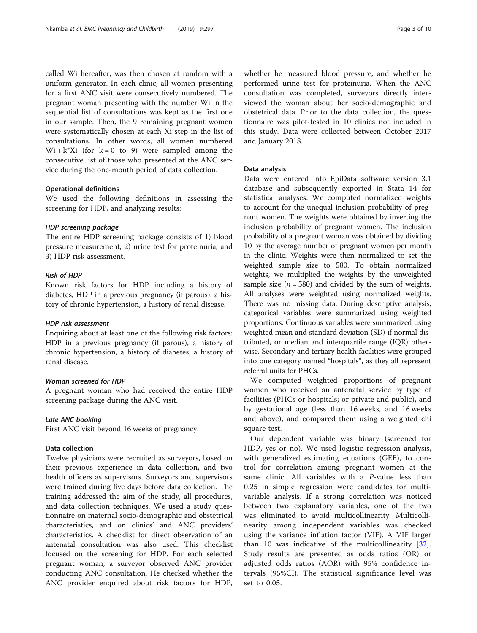called Wi hereafter, was then chosen at random with a uniform generator. In each clinic, all women presenting for a first ANC visit were consecutively numbered. The pregnant woman presenting with the number Wi in the sequential list of consultations was kept as the first one in our sample. Then, the 9 remaining pregnant women were systematically chosen at each Xi step in the list of consultations. In other words, all women numbered  $Wi + k*Xi$  (for  $k = 0$  to 9) were sampled among the consecutive list of those who presented at the ANC service during the one-month period of data collection.

### Operational definitions

We used the following definitions in assessing the screening for HDP, and analyzing results:

### HDP screening package

The entire HDP screening package consists of 1) blood pressure measurement, 2) urine test for proteinuria, and 3) HDP risk assessment.

### Risk of HDP

Known risk factors for HDP including a history of diabetes, HDP in a previous pregnancy (if parous), a history of chronic hypertension, a history of renal disease.

### HDP risk assessment

Enquiring about at least one of the following risk factors: HDP in a previous pregnancy (if parous), a history of chronic hypertension, a history of diabetes, a history of renal disease.

### Woman screened for HDP

A pregnant woman who had received the entire HDP screening package during the ANC visit.

### Late ANC booking

First ANC visit beyond 16 weeks of pregnancy.

### Data collection

Twelve physicians were recruited as surveyors, based on their previous experience in data collection, and two health officers as supervisors. Surveyors and supervisors were trained during five days before data collection. The training addressed the aim of the study, all procedures, and data collection techniques. We used a study questionnaire on maternal socio-demographic and obstetrical characteristics, and on clinics' and ANC providers' characteristics. A checklist for direct observation of an antenatal consultation was also used. This checklist focused on the screening for HDP. For each selected pregnant woman, a surveyor observed ANC provider conducting ANC consultation. He checked whether the ANC provider enquired about risk factors for HDP, whether he measured blood pressure, and whether he performed urine test for proteinuria. When the ANC consultation was completed, surveyors directly interviewed the woman about her socio-demographic and obstetrical data. Prior to the data collection, the questionnaire was pilot-tested in 10 clinics not included in this study. Data were collected between October 2017 and January 2018.

### Data analysis

Data were entered into EpiData software version 3.1 database and subsequently exported in Stata 14 for statistical analyses. We computed normalized weights to account for the unequal inclusion probability of pregnant women. The weights were obtained by inverting the inclusion probability of pregnant women. The inclusion probability of a pregnant woman was obtained by dividing 10 by the average number of pregnant women per month in the clinic. Weights were then normalized to set the weighted sample size to 580. To obtain normalized weights, we multiplied the weights by the unweighted sample size ( $n = 580$ ) and divided by the sum of weights. All analyses were weighted using normalized weights. There was no missing data. During descriptive analysis, categorical variables were summarized using weighted proportions. Continuous variables were summarized using weighted mean and standard deviation (SD) if normal distributed, or median and interquartile range (IQR) otherwise. Secondary and tertiary health facilities were grouped into one category named "hospitals", as they all represent referral units for PHCs.

We computed weighted proportions of pregnant women who received an antenatal service by type of facilities (PHCs or hospitals; or private and public), and by gestational age (less than 16 weeks, and 16 weeks and above), and compared them using a weighted chi square test.

Our dependent variable was binary (screened for HDP, yes or no). We used logistic regression analysis, with generalized estimating equations (GEE), to control for correlation among pregnant women at the same clinic. All variables with a P-value less than 0.25 in simple regression were candidates for multivariable analysis. If a strong correlation was noticed between two explanatory variables, one of the two was eliminated to avoid multicollinearity. Multicollinearity among independent variables was checked using the variance inflation factor (VIF). A VIF larger than 10 was indicative of the multicollinearity [\[32](#page-9-0)]. Study results are presented as odds ratios (OR) or adjusted odds ratios (AOR) with 95% confidence intervals (95%CI). The statistical significance level was set to 0.05.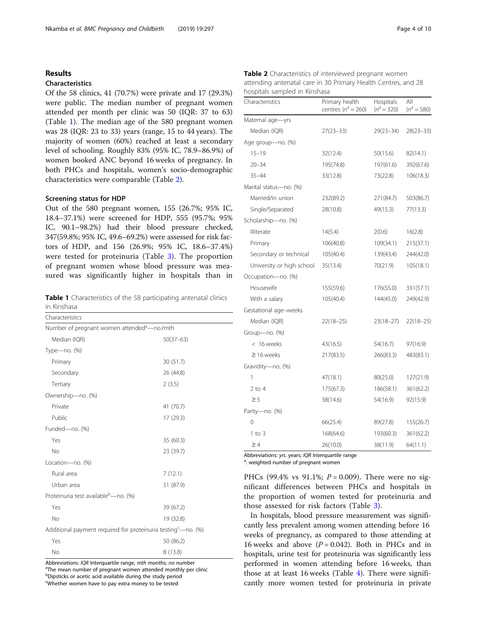# Results

# Characteristics

Of the 58 clinics, 41 (70.7%) were private and 17 (29.3%) were public. The median number of pregnant women attended per month per clinic was 50 (IQR: 37 to 63) (Table 1). The median age of the 580 pregnant women was 28 (IQR: 23 to 33) years (range, 15 to 44 years). The majority of women (60%) reached at least a secondary level of schooling. Roughly 83% (95% IC, 78.9–86.9%) of women booked ANC beyond 16 weeks of pregnancy. In both PHCs and hospitals, women's socio-demographic characteristics were comparable (Table 2).

### Screening status for HDP

Out of the 580 pregnant women, 155 (26.7%; 95% IC, 18.4–37.1%) were screened for HDP, 555 (95.7%; 95% IC, 90.1–98.2%) had their blood pressure checked, 347(59.8%; 95% IC, 49.6–69.2%) were assessed for risk factors of HDP, and 156 (26.9%; 95% IC, 18.6–37.4%) were tested for proteinuria (Table [3](#page-4-0)). The proportion of pregnant women whose blood pressure was measured was significantly higher in hospitals than in

Table 1 Characteristics of the 58 participating antenatal clinics in Kinshasa

| Characteristics                                                 |             |  |  |  |  |
|-----------------------------------------------------------------|-------------|--|--|--|--|
| Number of pregnant women attended <sup>a</sup> -no./mth         |             |  |  |  |  |
| Median (IQR)                                                    | $50(37-63)$ |  |  |  |  |
| Type-no. (%)                                                    |             |  |  |  |  |
| Primary                                                         | 30 (51.7)   |  |  |  |  |
| Secondary                                                       | 26 (44.8)   |  |  |  |  |
| Tertiary                                                        | 2(3.5)      |  |  |  |  |
| Ownership-no. (%)                                               |             |  |  |  |  |
| Private                                                         | 41 (70.7)   |  |  |  |  |
| Public                                                          | 17 (29.3)   |  |  |  |  |
| Funded-no. (%)                                                  |             |  |  |  |  |
| Yes                                                             | 35 (60.3)   |  |  |  |  |
| <b>No</b>                                                       | 23 (39.7)   |  |  |  |  |
| Location-no. (%)                                                |             |  |  |  |  |
| Rural area                                                      | 7(12.1)     |  |  |  |  |
| Urban area                                                      | 51 (87.9)   |  |  |  |  |
| Proteinuria test available <sup>b</sup> -no. (%)                |             |  |  |  |  |
| Yes                                                             | 39 (67.2)   |  |  |  |  |
| <b>No</b>                                                       | 19 (32.8)   |  |  |  |  |
| Additional payment required for proteinuria testing $-$ no. (%) |             |  |  |  |  |
| Yes                                                             | 50 (86.2)   |  |  |  |  |
| No                                                              | 8(13.8)     |  |  |  |  |

Abbreviations: IQR Interquartile range, mth months; no number

<sup>a</sup>The mean number of pregnant women attended monthly per clinic <sup>b</sup>Dipsticks or acetic acid available during the study period

Whether women have to pay extra money to be tested

| Table 2 Characteristics of interviewed pregnant women         |
|---------------------------------------------------------------|
| attending antenatal care in 30 Primary Health Centres, and 28 |
| hospitals sampled in Kinshasa                                 |

| Characteristics           | Primary health<br>centres ( $n^a = 260$ ) | Hospitals<br>$(n^a = 320)$ | All<br>$(n^a = 580)$ |
|---------------------------|-------------------------------------------|----------------------------|----------------------|
| Maternal age-yrs          |                                           |                            |                      |
| Median (IQR)              | $27(23 - 33)$                             | $29(23 - 34)$              | $28(23 - 33)$        |
| Age group-no. (%)         |                                           |                            |                      |
| $15 - 19$                 | 32(12.4)                                  | 50(15.6)                   | 82(14.1)             |
| $20 - 34$                 | 195(74.8)                                 | 197(61.6)                  | 392(67.6)            |
| $35 - 44$                 | 33(12.8)                                  | 73(22.8)                   | 106(18.3)            |
| Marital status-no. (%)    |                                           |                            |                      |
| Married/in union          | 232(89.2)                                 | 271(84.7)                  | 503(86.7)            |
| Single/Separated          | 28(10.8)                                  | 49(15.3)                   | 77(13.3)             |
| Scholarship-no. (%)       |                                           |                            |                      |
| Illiterate                | 14(5.4)                                   | 2(0.6)                     | 16(2.8)              |
| Primary                   | 106(40.8)                                 | 109(34.1)                  | 215(37.1)            |
| Secondary or technical    | 105(40.4)                                 | 139(43.4)                  | 244(42.0)            |
| University or high school | 35(13.4)                                  | 70(21.9)                   | 105(18.1)            |
| Occupation-no. (%)        |                                           |                            |                      |
| Housewife                 | 155(59.6)                                 | 176(55.0)                  | 331(57.1)            |
| With a salary             | 105(40.4)                                 | 144(45.0)                  | 249(42.9)            |
| Gestational age-weeks     |                                           |                            |                      |
| Median (IQR)              | $22(18 - 25)$                             | $23(18-27)$                | $22(18 - 25)$        |
| Group-no. (%)             |                                           |                            |                      |
| < 16 weeks                | 43(16.5)                                  | 54(16.7)                   | 97(16.9)             |
| $\geq$ 16 weeks           | 217(83.5)                                 | 266(83.3)                  | 483(83.1)            |
| Gravidity-no. (%)         |                                           |                            |                      |
| 1                         | 47(18.1)                                  | 80(25.0)                   | 127(21.9)            |
| $2$ to 4                  | 175(67.3)                                 | 186(58.1)                  | 361(62.2)            |
| $\geq$ 5                  | 38(14.6)                                  | 54(16.9)                   | 92(15.9)             |
| Parity-no. (%)            |                                           |                            |                      |
| $\Omega$                  | 66(25.4)                                  | 89(27.8)                   | 155(26.7)            |
| $1$ to $3$                | 168(64.6)                                 | 193(60.3)                  | 361(62.2)            |
| $\geq 4$                  | 26(10.0)                                  | 38(11.9)                   | 64(11.1)             |

Abbreviations: yrs. years; IQR Interquartile range

<sup>a</sup>: weighted number of pregnant women

PHCs (99.4% vs 91.1%;  $P = 0.009$ ). There were no significant differences between PHCs and hospitals in the proportion of women tested for proteinuria and those assessed for risk factors (Table [3\)](#page-4-0).

In hospitals, blood pressure measurement was significantly less prevalent among women attending before 16 weeks of pregnancy, as compared to those attending at 16 weeks and above  $(P = 0.042)$ . Both in PHCs and in hospitals, urine test for proteinuria was significantly less performed in women attending before 16 weeks, than those at at least 16 weeks (Table [4](#page-4-0)). There were significantly more women tested for proteinuria in private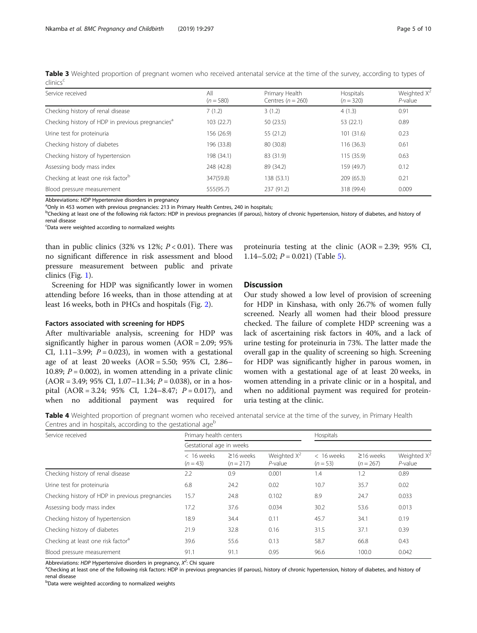<span id="page-4-0"></span>

|                      |  | Table 3 Weighted proportion of pregnant women who received antenatal service at the time of the survey, according to types of |  |  |  |  |
|----------------------|--|-------------------------------------------------------------------------------------------------------------------------------|--|--|--|--|
| clinics <sup>c</sup> |  |                                                                                                                               |  |  |  |  |

| Service received                                             | All<br>$(n = 580)$ | Primary Health<br>Centres $(n = 260)$ | Hospitals<br>$(n = 320)$ | Weighted $X^2$<br>$P$ -value |
|--------------------------------------------------------------|--------------------|---------------------------------------|--------------------------|------------------------------|
| Checking history of renal disease                            | 7(1.2)             | 3(1.2)                                | 4(1.3)                   | 0.91                         |
| Checking history of HDP in previous pregnancies <sup>a</sup> | 103 (22.7)         | 50(23.5)                              | 53(22.1)                 | 0.89                         |
| Urine test for proteinuria                                   | 156 (26.9)         | 55(21.2)                              | 101(31.6)                | 0.23                         |
| Checking history of diabetes                                 | 196 (33.8)         | 80 (30.8)                             | 116(36.3)                | 0.61                         |
| Checking history of hypertension                             | 198 (34.1)         | 83 (31.9)                             | 115 (35.9)               | 0.63                         |
| Assessing body mass index                                    | 248 (42.8)         | 89 (34.2)                             | 159 (49.7)               | 0.12                         |
| Checking at least one risk factor <sup>b</sup>               | 347(59.8)          | 138 (53.1)                            | 209(65.3)                | 0.21                         |
| Blood pressure measurement                                   | 555(95.7)          | 237 (91.2)                            | 318 (99.4)               | 0.009                        |

Abbreviations: HDP Hypertensive disorders in pregnancy

<sup>a</sup>Only in 453 women with previous pregnancies: 213 in Primary Health Centres, 240 in hospitals;

<sup>b</sup>Checking at least one of the following risk factors: HDP in previous pregnancies (if parous), history of chronic hypertension, history of diabetes, and history of renal disease

<sup>c</sup>Data were weighted according to normalized weights

than in public clinics (32% vs 12%;  $P < 0.01$ ). There was no significant difference in risk assessment and blood pressure measurement between public and private clinics (Fig. [1\)](#page-5-0).

Screening for HDP was significantly lower in women attending before 16 weeks, than in those attending at at least 16 weeks, both in PHCs and hospitals (Fig. [2\)](#page-5-0).

# Factors associated with screening for HDPS

After multivariable analysis, screening for HDP was significantly higher in parous women (AOR = 2.09; 95% CI, 1.11–3.99;  $P = 0.023$ ), in women with a gestational age of at least 20 weeks (AOR = 5.50; 95% CI, 2.86– 10.89;  $P = 0.002$ ), in women attending in a private clinic  $(AOR = 3.49; 95\% CI, 1.07-11.34; P = 0.038)$ , or in a hospital  $(AOR = 3.24; 95\% \text{ CI}, 1.24-8.47; P = 0.017)$ , and when no additional payment was required for proteinuria testing at the clinic (AOR = 2.39; 95% CI, 1.14–5.02;  $P = 0.021$ ) (Table [5\)](#page-6-0).

# **Discussion**

Our study showed a low level of provision of screening for HDP in Kinshasa, with only 26.7% of women fully screened. Nearly all women had their blood pressure checked. The failure of complete HDP screening was a lack of ascertaining risk factors in 40%, and a lack of urine testing for proteinuria in 73%. The latter made the overall gap in the quality of screening so high. Screening for HDP was significantly higher in parous women, in women with a gestational age of at least 20 weeks, in women attending in a private clinic or in a hospital, and when no additional payment was required for proteinuria testing at the clinic.

Table 4 Weighted proportion of pregnant women who received antenatal service at the time of the survey, in Primary Health Centres and in hospitals, according to the gestational age<sup>b</sup>

| Service received                                | Primary health centers     |                                |                              | Hospitals                |                                |                              |  |
|-------------------------------------------------|----------------------------|--------------------------------|------------------------------|--------------------------|--------------------------------|------------------------------|--|
|                                                 | Gestational age in weeks   |                                |                              |                          |                                |                              |  |
|                                                 | $< 16$ weeks<br>$(n = 43)$ | $\geq$ 16 weeks<br>$(n = 217)$ | Weighted $X^2$<br>$P$ -value | < 16 weeks<br>$(n = 53)$ | $\geq$ 16 weeks<br>$(n = 267)$ | Weighted $X^2$<br>$P$ -value |  |
| Checking history of renal disease               | 2.2                        | 0.9                            | 0.001                        | 1.4                      | 1.2                            | 0.89                         |  |
| Urine test for proteinuria                      | 6.8                        | 24.2                           | 0.02                         | 10.7                     | 35.7                           | 0.02                         |  |
| Checking history of HDP in previous pregnancies | 15.7                       | 24.8                           | 0.102                        | 8.9                      | 24.7                           | 0.033                        |  |
| Assessing body mass index                       | 17.2                       | 37.6                           | 0.034                        | 30.2                     | 53.6                           | 0.013                        |  |
| Checking history of hypertension                | 18.9                       | 34.4                           | 0.11                         | 45.7                     | 34.1                           | 0.19                         |  |
| Checking history of diabetes                    | 21.9                       | 32.8                           | 0.16                         | 31.5                     | 37.1                           | 0.39                         |  |
| Checking at least one risk factor <sup>a</sup>  | 39.6                       | 55.6                           | 0.13                         | 58.7                     | 66.8                           | 0.43                         |  |
| Blood pressure measurement                      | 91.1                       | 91.1                           | 0.95                         | 96.6                     | 100.0                          | 0.042                        |  |

Abbreviations: HDP Hypertensive disorders in pregnancy,  $X^2$ : Chi square  $X^2$  and  $X^2$  and  $X^2$  and  $X^2$  and  $X^2$  and  $X^2$  and  $X^2$  and  $X^2$  and  $X^2$  and  $X^2$  and  $X^2$  and  $X^2$  and  $X^2$  and  $X^2$  and  $X^2$  a

<sup>a</sup>Checking at least one of the following risk factors: HDP in previous pregnancies (if parous), history of chronic hypertension, history of diabetes, and history of renal disease

<sup>b</sup>Data were weighted according to normalized weights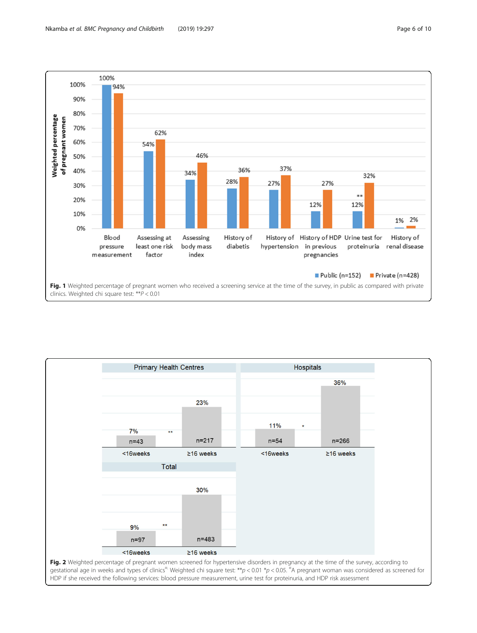<span id="page-5-0"></span>

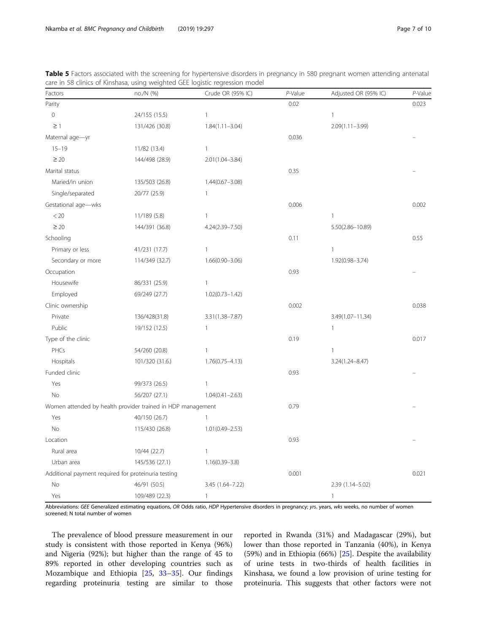| Factors                                                     | no./N (%)       | Crude OR (95% IC)   | P-Value | Adjusted OR (95% IC) | P-Value |
|-------------------------------------------------------------|-----------------|---------------------|---------|----------------------|---------|
| Parity                                                      |                 |                     | 0.02    |                      | 0.023   |
| $\mathbf 0$                                                 | 24/155 (15.5)   | $\mathbf{1}$        |         | $\mathbf{1}$         |         |
| $\geq$ 1                                                    | 131/426 (30.8)  | $1.84(1.11 - 3.04)$ |         | $2.09(1.11 - 3.99)$  |         |
| Maternal age-yr                                             |                 |                     | 0.036   |                      |         |
| $15 - 19$                                                   | 11/82 (13.4)    | $\mathbf{1}$        |         |                      |         |
| $\geq 20$                                                   | 144/498 (28.9)  | $2.01(1.04 - 3.84)$ |         |                      |         |
| Marital status                                              |                 |                     | 0.35    |                      |         |
| Maried/in union                                             | 135/503 (26.8)  | $1.44(0.67 - 3.08)$ |         |                      |         |
| Single/separated                                            | 20/77 (25.9)    | $\mathbf{1}$        |         |                      |         |
| Gestational age-wks                                         |                 |                     | 0.006   |                      | 0.002   |
| < 20                                                        | 11/189 (5.8)    | $\mathbf{1}$        |         | $\mathbf{1}$         |         |
| $\geq 20$                                                   | 144/391 (36.8)  | 4.24(2.39-7.50)     |         | 5.50(2.86-10.89)     |         |
| Schooling                                                   |                 |                     | 0.11    |                      | 0.55    |
| Primary or less                                             | 41/231 (17.7)   | $\mathbf{1}$        |         | $\mathbf{1}$         |         |
| Secondary or more                                           | 114/349 (32.7)  | $1.66(0.90 - 3.06)$ |         | $1.92(0.98 - 3.74)$  |         |
| Occupation                                                  |                 |                     | 0.93    |                      |         |
| Housewife                                                   | 86/331 (25.9)   | $\mathbf{1}$        |         |                      |         |
| Employed                                                    | 69/249 (27.7)   | $1.02(0.73 - 1.42)$ |         |                      |         |
| Clinic ownership                                            |                 |                     | 0.002   |                      | 0.038   |
| Private                                                     | 136/428(31.8)   | 3.31(1.38-7.87)     |         | 3.49(1.07-11.34)     |         |
| Public                                                      | 19/152 (12.5)   | 1                   |         | $\mathbf{1}$         |         |
| Type of the clinic                                          |                 |                     | 0.19    |                      | 0.017   |
| PHCs                                                        | 54/260 (20.8)   | $\mathbf{1}$        |         | $\mathbf{1}$         |         |
| Hospitals                                                   | 101/320 (31.6.) | $1.76(0.75 - 4.13)$ |         | $3.24(1.24 - 8.47)$  |         |
| Funded clinic                                               |                 |                     | 0.93    |                      |         |
| Yes                                                         | 99/373 (26.5)   | $\mathbf{1}$        |         |                      |         |
| <b>No</b>                                                   | 56/207 (27.1)   | $1.04(0.41 - 2.63)$ |         |                      |         |
| Women attended by health provider trained in HDP management |                 |                     | 0.79    |                      |         |
| Yes                                                         | 40/150 (26.7)   | $\mathbf{1}$        |         |                      |         |
| <b>No</b>                                                   | 115/430 (26.8)  | $1.01(0.49 - 2.53)$ |         |                      |         |
| Location                                                    |                 |                     | 0.93    |                      |         |
| Rural area                                                  | 10/44 (22.7)    | $\mathbf{1}$        |         |                      |         |
| Urban area                                                  | 145/536 (27.1)  | $1.16(0.39 - 3.8)$  |         |                      |         |
| Additional payment required for proteinuria testing         |                 |                     | 0.001   |                      | 0.021   |
| No                                                          | 46/91 (50.5)    | 3.45 (1.64-7.22)    |         | 2.39 (1.14-5.02)     |         |
| Yes                                                         | 109/489 (22.3)  | $\mathbf{1}$        |         | $\mathbf{1}$         |         |

<span id="page-6-0"></span>Table 5 Factors associated with the screening for hypertensive disorders in pregnancy in 580 pregnant women attending antenatal care in 58 clinics of Kinshasa, using weighted GEE logistic regression model

Abbreviations: GEE Generalized estimating equations, OR Odds ratio, HDP Hypertensive disorders in pregnancy; yrs. years, wks weeks, no number of women screened; N total number of women

The prevalence of blood pressure measurement in our study is consistent with those reported in Kenya (96%) and Nigeria (92%); but higher than the range of 45 to 89% reported in other developing countries such as Mozambique and Ethiopia [\[25](#page-9-0), [33](#page-9-0)–[35\]](#page-9-0). Our findings regarding proteinuria testing are similar to those reported in Rwanda (31%) and Madagascar (29%), but lower than those reported in Tanzania (40%), in Kenya (59%) and in Ethiopia (66%) [[25\]](#page-9-0). Despite the availability of urine tests in two-thirds of health facilities in Kinshasa, we found a low provision of urine testing for proteinuria. This suggests that other factors were not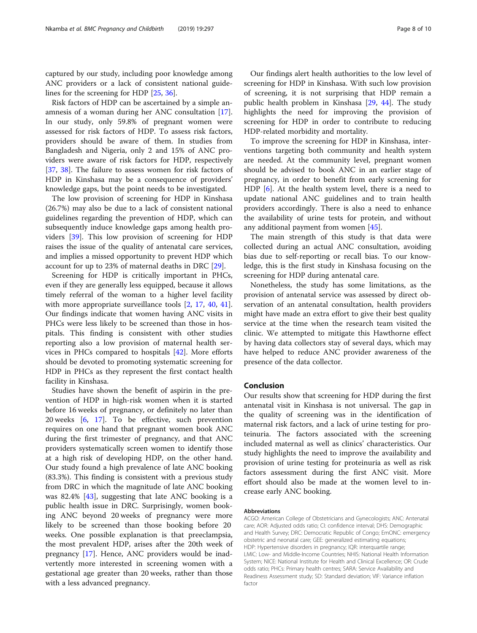captured by our study, including poor knowledge among ANC providers or a lack of consistent national guidelines for the screening for HDP [\[25](#page-9-0), [36](#page-9-0)].

Risk factors of HDP can be ascertained by a simple anamnesis of a woman during her ANC consultation [\[17](#page-8-0)]. In our study, only 59.8% of pregnant women were assessed for risk factors of HDP. To assess risk factors, providers should be aware of them. In studies from Bangladesh and Nigeria, only 2 and 15% of ANC providers were aware of risk factors for HDP, respectively [[37,](#page-9-0) [38](#page-9-0)]. The failure to assess women for risk factors of HDP in Kinshasa may be a consequence of providers' knowledge gaps, but the point needs to be investigated.

The low provision of screening for HDP in Kinshasa (26.7%) may also be due to a lack of consistent national guidelines regarding the prevention of HDP, which can subsequently induce knowledge gaps among health providers [\[39](#page-9-0)]. This low provision of screening for HDP raises the issue of the quality of antenatal care services, and implies a missed opportunity to prevent HDP which account for up to 23% of maternal deaths in DRC [[29\]](#page-9-0).

Screening for HDP is critically important in PHCs, even if they are generally less equipped, because it allows timely referral of the woman to a higher level facility with more appropriate surveillance tools [[2,](#page-8-0) [17,](#page-8-0) [40](#page-9-0), [41](#page-9-0)]. Our findings indicate that women having ANC visits in PHCs were less likely to be screened than those in hospitals. This finding is consistent with other studies reporting also a low provision of maternal health services in PHCs compared to hospitals [\[42](#page-9-0)]. More efforts should be devoted to promoting systematic screening for HDP in PHCs as they represent the first contact health facility in Kinshasa.

Studies have shown the benefit of aspirin in the prevention of HDP in high-risk women when it is started before 16 weeks of pregnancy, or definitely no later than 20 weeks [[6](#page-8-0), [17\]](#page-8-0). To be effective, such prevention requires on one hand that pregnant women book ANC during the first trimester of pregnancy, and that ANC providers systematically screen women to identify those at a high risk of developing HDP, on the other hand. Our study found a high prevalence of late ANC booking (83.3%). This finding is consistent with a previous study from DRC in which the magnitude of late ANC booking was 82.4% [\[43](#page-9-0)], suggesting that late ANC booking is a public health issue in DRC. Surprisingly, women booking ANC beyond 20 weeks of pregnancy were more likely to be screened than those booking before 20 weeks. One possible explanation is that preeclampsia, the most prevalent HDP, arises after the 20th week of pregnancy [\[17](#page-8-0)]. Hence, ANC providers would be inadvertently more interested in screening women with a gestational age greater than 20 weeks, rather than those with a less advanced pregnancy.

Our findings alert health authorities to the low level of screening for HDP in Kinshasa. With such low provision of screening, it is not surprising that HDP remain a public health problem in Kinshasa [[29](#page-9-0), [44\]](#page-9-0). The study highlights the need for improving the provision of screening for HDP in order to contribute to reducing HDP-related morbidity and mortality.

To improve the screening for HDP in Kinshasa, interventions targeting both community and health system are needed. At the community level, pregnant women should be advised to book ANC in an earlier stage of pregnancy, in order to benefit from early screening for HDP [\[6](#page-8-0)]. At the health system level, there is a need to update national ANC guidelines and to train health providers accordingly. There is also a need to enhance the availability of urine tests for protein, and without any additional payment from women [\[45](#page-9-0)].

The main strength of this study is that data were collected during an actual ANC consultation, avoiding bias due to self-reporting or recall bias. To our knowledge, this is the first study in Kinshasa focusing on the screening for HDP during antenatal care.

Nonetheless, the study has some limitations, as the provision of antenatal service was assessed by direct observation of an antenatal consultation, health providers might have made an extra effort to give their best quality service at the time when the research team visited the clinic. We attempted to mitigate this Hawthorne effect by having data collectors stay of several days, which may have helped to reduce ANC provider awareness of the presence of the data collector.

### Conclusion

Our results show that screening for HDP during the first antenatal visit in Kinshasa is not universal. The gap in the quality of screening was in the identification of maternal risk factors, and a lack of urine testing for proteinuria. The factors associated with the screening included maternal as well as clinics' characteristics. Our study highlights the need to improve the availability and provision of urine testing for proteinuria as well as risk factors assessment during the first ANC visit. More effort should also be made at the women level to increase early ANC booking.

#### Abbreviations

ACGO: American College of Obstetricians and Gynecologists; ANC: Antenatal care; AOR: Adjusted odds ratio; CI: confidence interval; DHS: Demographic and Health Survey; DRC: Democratic Republic of Congo; EmONC: emergency obstetric and neonatal care; GEE: generalized estimating equations; HDP: Hypertensive disorders in pregnancy; IQR: interquartile range; LMIC: Low- and Middle-Income Countries; NHIS: National Health Information System; NICE: National Institute for Health and Clinical Excellence; OR: Crude odds ratio; PHCs: Primary health centres; SARA: Service Availability and Readiness Assessment study; SD: Standard deviation; VIF: Variance inflation factor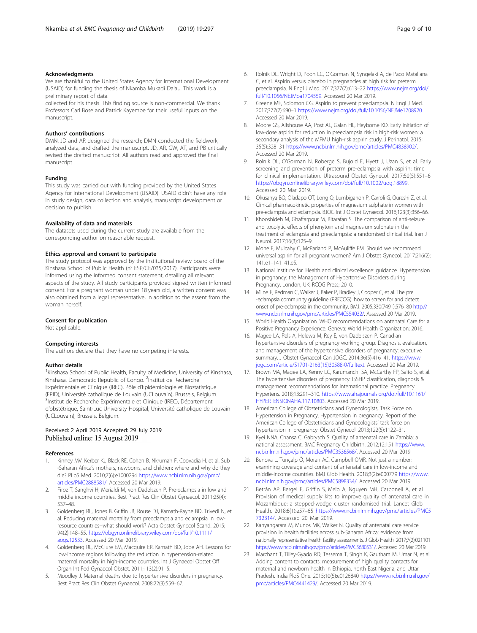### <span id="page-8-0"></span>Acknowledgments

We are thankful to the United States Agency for International Development (USAID) for funding the thesis of Nkamba Mukadi Dalau. This work is a preliminary report of data.

collected for his thesis. This finding source is non-commercial. We thank Professors Carl Bose and Patrick Kayembe for their useful inputs on the manuscript.

### Authors' contributions

DMN, JD and AR designed the research; DMN conducted the fieldwork, analyzed data, and drafted the manuscript. JD, AR, GW, AT, and PB critically revised the drafted manuscript. All authors read and approved the final manuscript.

#### Funding

This study was carried out with funding provided by the United States Agency for International Development (USAID). USAID didn't have any role in study design, data collection and analysis, manuscript development or decision to publish.

### Availability of data and materials

The datasets used during the current study are available from the corresponding author on reasonable request.

#### Ethics approval and consent to participate

The study protocol was approved by the institutional review board of the Kinshasa School of Public Health (n° ESP/CE/035/2017). Participants were informed using the informed consent statement, detailing all relevant aspects of the study. All study participants provided signed written informed consent. For a pregnant woman under 18 years old, a written consent was also obtained from a legal representative, in addition to the assent from the woman herself.

#### Consent for publication

Not applicable.

### Competing interests

The authors declare that they have no competing interests.

#### Author details

<sup>1</sup>Kinshasa School of Public Health, Faculty of Medicine, University of Kinshasa, Kinshasa, Democratic Republic of Congo. <sup>2</sup>Institut de Recherche Expérimentale et Clinique (IREC), Pôle d'Epidémiologie et Biostatistique (EPID), Université catholique de Louvain (UCLouvain), Brussels, Belgium. 3 Institut de Recherche Expérimentale et Clinique (IREC), Département d'obstétrique, Saint-Luc University Hospital, Université catholique de Louvain (UCLouvain), Brussels, Belgium.

### Received: 2 April 2019 Accepted: 29 July 2019 Published online: 15 August 2019

#### References

- 1. Kinney MV, Kerber KJ, Black RE, Cohen B, Nkrumah F, Coovadia H, et al. Sub -Saharan Africa's mothers, newborns, and children: where and why do they die? PLoS Med. 2010;7(6):e1000294 [https://www.ncbi.nlm.nih.gov/pmc/](https://www.ncbi.nlm.nih.gov/pmc/articles/PMC2888581/) [articles/PMC2888581/](https://www.ncbi.nlm.nih.gov/pmc/articles/PMC2888581/). Accessed 20 Mar 2019.
- 2. Firoz T, Sanghvi H, Merialdi M, von Dadelszen P. Pre-eclampsia in low and middle income countries. Best Pract Res Clin Obstet Gynaecol. 2011;25(4): 537–48.
- 3. Goldenberg RL, Jones B, Griffin JB, Rouse DJ, Kamath-Rayne BD, Trivedi N, et al. Reducing maternal mortality from preeclampsia and eclampsia in lowresource countries--what should work? Acta Obstet Gynecol Scand. 2015; 94(2):148–55. [https://obgyn.onlinelibrary.wiley.com/doi/full/10.1111/](https://obgyn.onlinelibrary.wiley.com/doi/full/10.1111/aogs.12533) [aogs.12533](https://obgyn.onlinelibrary.wiley.com/doi/full/10.1111/aogs.12533). Accessed 20 Mar 2019.
- 4. Goldenberg RL, McClure EM, Macguire ER, Kamath BD, Jobe AH. Lessons for low-income regions following the reduction in hypertension-related maternal mortality in high-income countries. Int J Gynaecol Obstet Off Organ Int Fed Gynaecol Obstet. 2011;113(2):91–5.
- 5. Moodley J. Maternal deaths due to hypertensive disorders in pregnancy. Best Pract Res Clin Obstet Gynaecol. 2008;22(3):559–67.
- [full/10.1056/NEJMoa1704559](https://www.nejm.org/doi/full/10.1056/NEJMoa1704559). Accessed 20 Mar 2019. 7. Greene MF, Solomon CG. Aspirin to prevent preeclampsia. N Engl J Med. 2017;377(7):690–1 <https://www.nejm.org/doi/full/10.1056/NEJMe1708920>. Accessed 20 Mar 2019.
- 8. Moore GS, Allshouse AA, Post AL, Galan HL, Heyborne KD. Early initiation of low-dose aspirin for reduction in preeclampsia risk in high-risk women: a secondary analysis of the MFMU high-risk aspirin study. J Perinatol. 2015; 35(5):328–31 [https://www.ncbi.nlm.nih.gov/pmc/articles/PMC4838902/.](https://www.ncbi.nlm.nih.gov/pmc/articles/PMC4838902/) Accessed 20 Mar 2019.
- 9. Rolnik DL, O'Gorman N, Roberge S, Bujold E, Hyett J, Uzan S, et al. Early screening and prevention of preterm pre-eclampsia with aspirin: time for clinical implementation. Ultrasound Obstet Gynecol. 2017;50(5):551–6 <https://obgyn.onlinelibrary.wiley.com/doi/full/10.1002/uog.18899>. Accessed 20 Mar 2019.
- 10. Okusanya BO, Oladapo OT, Long Q, Lumbiganon P, Carroli G, Qureshi Z, et al. Clinical pharmacokinetic properties of magnesium sulphate in women with pre-eclampsia and eclampsia. BJOG Int J Obstet Gynaecol. 2016;123(3):356–66.
- 11. Khooshideh M, Ghaffarpour M, Bitarafan S. The comparison of anti-seizure and tocolytic effects of phenytoin and magnesium sulphate in the treatment of eclampsia and preeclampsia: a randomised clinical trial. Iran J Neurol. 2017;16(3):125–9.
- 12. Mone F, Mulcahy C, McParland P, McAuliffe FM. Should we recommend universal aspirin for all pregnant women? Am J Obstet Gynecol. 2017;216(2): 141.e1–141141.e5.
- 13. National Institute for. Health and clinical excellence: guidance. Hypertension in pregnancy: the Management of Hypertensive Disorders during Pregnancy. London, UK: RCOG Press; 2010.
- 14. Milne F, Redman C, Walker J, Baker P, Bradley J, Cooper C, et al. The pre -eclampsia community guideline (PRECOG): how to screen for and detect onset of pre-eclampsia in the community. BMJ. 2005;330(7491):576–80 [http://](http://www.ncbi.nlm.nih.gov/pmc/articles/PMC554032/) [www.ncbi.nlm.nih.gov/pmc/articles/PMC554032/.](http://www.ncbi.nlm.nih.gov/pmc/articles/PMC554032/) Assessed 20 Mar 2019.
- 15. World Health Organization. WHO recommendations on antenatal Care for a Positive Pregnancy Experience. Geneva: World Health Organization; 2016.
- 16. Magee LA, Pels A, Helewa M, Rey E, von Dadelszen P. Canadian hypertensive disorders of pregnancy working group. Diagnosis, evaluation, and management of the hypertensive disorders of pregnancy: executive summary. J Obstet Gynaecol Can JOGC. 2014;36(5):416–41. [https://www.](https://www.jogc.com/article/S1701-2163(15)30588-0/fulltext) [jogc.com/article/S1701-2163\(15\)30588-0/fulltext](https://www.jogc.com/article/S1701-2163(15)30588-0/fulltext). Accessed 20 Mar 2019.
- 17. Brown MA, Magee LA, Kenny LC, Karumanchi SA, McCarthy FP, Saito S, et al. The hypertensive disorders of pregnancy: ISSHP classification, diagnosis & management recommendations for international practice. Pregnancy Hypertens. 2018;13:291–310. [https://www.ahajournals.org/doi/full/10.1161/](https://www.ahajournals.org/doi/full/10.1161/HYPERTENSIONAHA.117.10803) [HYPERTENSIONAHA.117.10803.](https://www.ahajournals.org/doi/full/10.1161/HYPERTENSIONAHA.117.10803) Accessed 20 Mar 2019.
- 18. American College of Obstetricians and Gynecologists, Task Force on Hypertension in Pregnancy. Hypertension in pregnancy. Report of the American College of Obstetricians and Gynecologists' task force on hypertension in pregnancy. Obstet Gynecol. 2013;122(5):1122–31.
- 19. Kyei NNA, Chansa C, Gabrysch S. Quality of antenatal care in Zambia: a national assessment. BMC Pregnancy Childbirth. 2012;12:151 [https://www.](https://www.ncbi.nlm.nih.gov/pmc/articles/PMC3536568/) [ncbi.nlm.nih.gov/pmc/articles/PMC3536568/](https://www.ncbi.nlm.nih.gov/pmc/articles/PMC3536568/). Accessed 20 Mar 2019.
- 20. Benova L, Tunçalp Ö, Moran AC, Campbell OMR. Not just a number: examining coverage and content of antenatal care in low-income and middle-income countries. BMJ Glob Health. 2018;3(2):e000779 [https://www.](https://www.ncbi.nlm.nih.gov/pmc/articles/PMC5898334/) [ncbi.nlm.nih.gov/pmc/articles/PMC5898334/](https://www.ncbi.nlm.nih.gov/pmc/articles/PMC5898334/). Accessed 20 Mar 2019.
- 21. Betrán AP, Bergel E, Griffin S, Melo A, Nguyen MH, Carbonell A, et al. Provision of medical supply kits to improve quality of antenatal care in Mozambique: a stepped-wedge cluster randomised trial. Lancet Glob Health. 2018;6(1):e57–65 [https://www.ncbi.nlm.nih.gov/pmc/articles/PMC5](https://www.ncbi.nlm.nih.gov/pmc/articles/PMC5732314/) [732314/](https://www.ncbi.nlm.nih.gov/pmc/articles/PMC5732314/). Accessed 20 Mar 2019.
- 22. Kanyangarara M, Munos MK, Walker N. Quality of antenatal care service provision in health facilities across sub-Saharan Africa: evidence from nationally representative health facility assessments. J Glob Health. 2017;7(2):021101 <https://www.ncbi.nlm.nih.gov/pmc/articles/PMC5680531/>. Accessed 20 Mar 2019.
- 23. Marchant T, Tilley-Gyado RD, Tessema T, Singh K, Gautham M, Umar N, et al. Adding content to contacts: measurement of high quality contacts for maternal and newborn health in Ethiopia, north East Nigeria, and Uttar Pradesh. India PloS One. 2015;10(5):e0126840 [https://www.ncbi.nlm.nih.gov/](https://www.ncbi.nlm.nih.gov/pmc/articles/PMC4441429/) [pmc/articles/PMC4441429/](https://www.ncbi.nlm.nih.gov/pmc/articles/PMC4441429/). Accessed 20 Mar 2019.